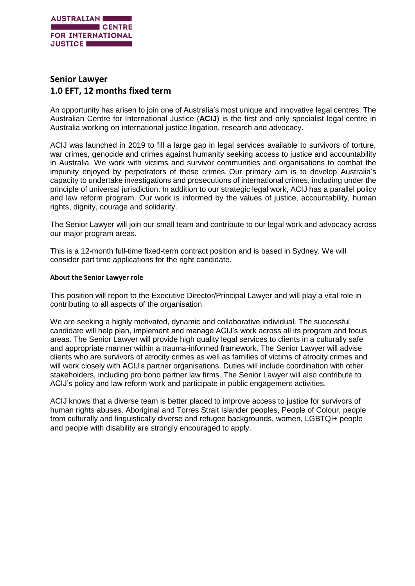

# **Senior Lawyer 1.0 EFT, 12 months fixed term**

An opportunity has arisen to join one of Australia's most unique and innovative legal centres. The Australian Centre for International Justice (**ACIJ**) is the first and only specialist legal centre in Australia working on international justice litigation, research and advocacy.

ACIJ was launched in 2019 to fill a large gap in legal services available to survivors of torture, war crimes, genocide and crimes against humanity seeking access to justice and accountability in Australia. We work with victims and survivor communities and organisations to combat the impunity enjoyed by perpetrators of these crimes. Our primary aim is to develop Australia's capacity to undertake investigations and prosecutions of international crimes, including under the principle of universal jurisdiction. In addition to our strategic legal work, ACIJ has a parallel policy and law reform program. Our work is informed by the values of justice, accountability, human rights, dignity, courage and solidarity.

The Senior Lawyer will join our small team and contribute to our legal work and advocacy across our major program areas.

This is a 12-month full-time fixed-term contract position and is based in Sydney. We will consider part time applications for the right candidate.

#### **About the Senior Lawyer role**

This position will report to the Executive Director/Principal Lawyer and will play a vital role in contributing to all aspects of the organisation.

We are seeking a highly motivated, dynamic and collaborative individual. The successful candidate will help plan, implement and manage ACIJ's work across all its program and focus areas. The Senior Lawyer will provide high quality legal services to clients in a culturally safe and appropriate manner within a trauma-informed framework. The Senior Lawyer will advise clients who are survivors of atrocity crimes as well as families of victims of atrocity crimes and will work closely with ACIJ's partner organisations. Duties will include coordination with other stakeholders, including pro bono partner law firms. The Senior Lawyer will also contribute to ACIJ's policy and law reform work and participate in public engagement activities.

ACIJ knows that a diverse team is better placed to improve access to justice for survivors of human rights abuses. Aboriginal and Torres Strait Islander peoples, People of Colour, people from culturally and linguistically diverse and refugee backgrounds, women, LGBTQI+ people and people with disability are strongly encouraged to apply.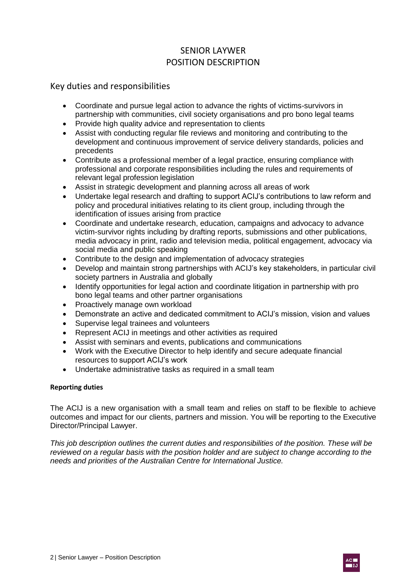# SENIOR LAYWER POSITION DESCRIPTION

Key duties and responsibilities

- Coordinate and pursue legal action to advance the rights of victims-survivors in partnership with communities, civil society organisations and pro bono legal teams
- Provide high quality advice and representation to clients
- Assist with conducting regular file reviews and monitoring and contributing to the development and continuous improvement of service delivery standards, policies and precedents
- Contribute as a professional member of a legal practice, ensuring compliance with professional and corporate responsibilities including the rules and requirements of relevant legal profession legislation
- Assist in strategic development and planning across all areas of work
- Undertake legal research and drafting to support ACIJ's contributions to law reform and policy and procedural initiatives relating to its client group, including through the identification of issues arising from practice
- Coordinate and undertake research, education, campaigns and advocacy to advance victim-survivor rights including by drafting reports, submissions and other publications, media advocacy in print, radio and television media, political engagement, advocacy via social media and public speaking
- Contribute to the design and implementation of advocacy strategies
- Develop and maintain strong partnerships with ACIJ's key stakeholders, in particular civil society partners in Australia and globally
- Identify opportunities for legal action and coordinate litigation in partnership with pro bono legal teams and other partner organisations
- Proactively manage own workload
- Demonstrate an active and dedicated commitment to ACIJ's mission, vision and values
- Supervise legal trainees and volunteers
- Represent ACIJ in meetings and other activities as required
- Assist with seminars and events, publications and communications
- Work with the Executive Director to help identify and secure adequate financial resources to support ACIJ's work
- Undertake administrative tasks as required in a small team

## **Reporting duties**

The ACIJ is a new organisation with a small team and relies on staff to be flexible to achieve outcomes and impact for our clients, partners and mission. You will be reporting to the Executive Director/Principal Lawyer.

*This job description outlines the current duties and responsibilities of the position. These will be reviewed on a regular basis with the position holder and are subject to change according to the needs and priorities of the Australian Centre for International Justice.*